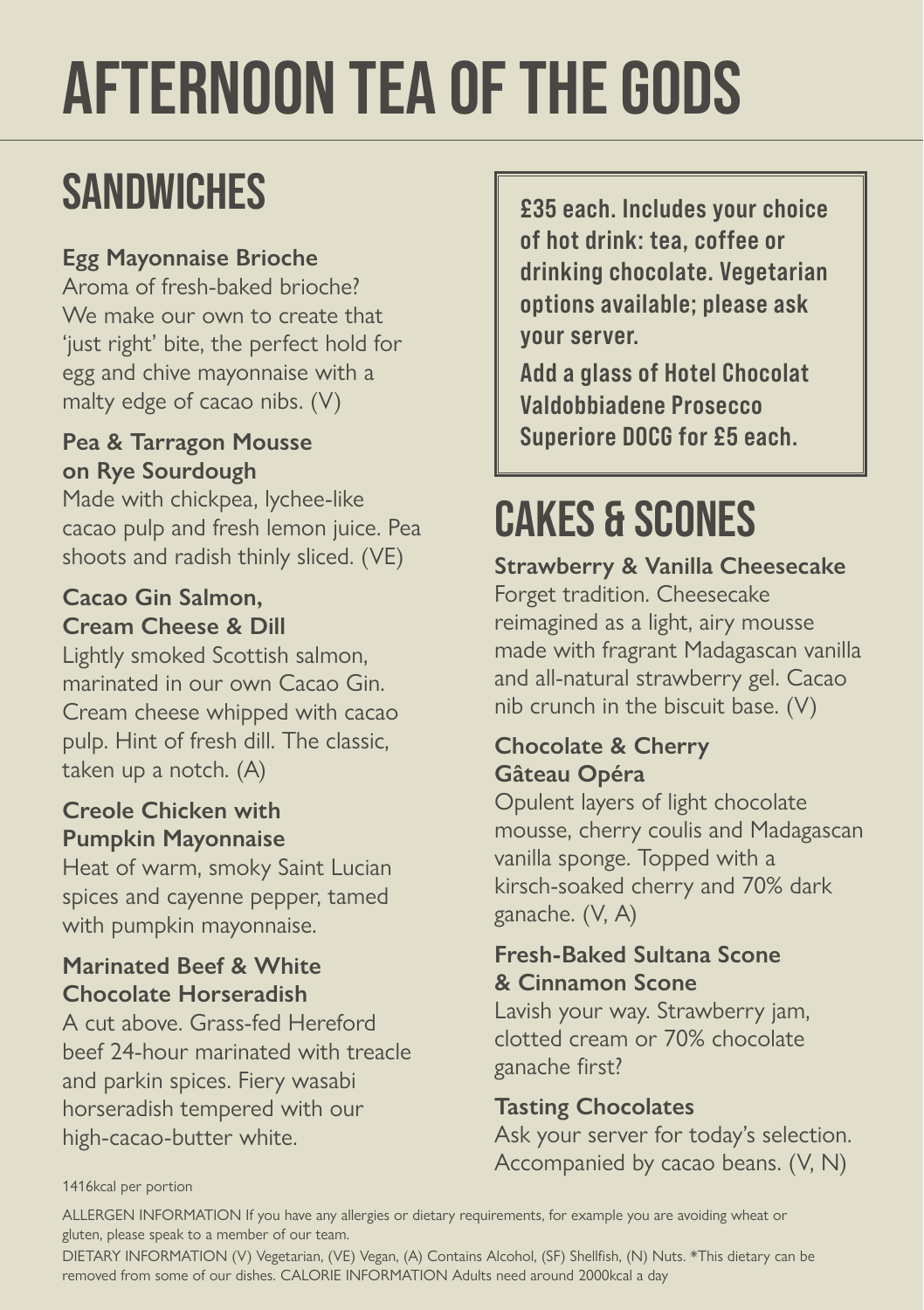# AFTERNOON TEA OF THE GODS

## **SANDWICHES**

### **Egg Mayonnaise Brioche**

Aroma of fresh-baked brioche? We make our own to create that 'just right' bite, the perfect hold for egg and chive mayonnaise with a malty edge of cacao nibs. (V)

#### **Pea & Tarragon Mousse on Rye Sourdough**

Made with chickpea, lychee-like cacao pulp and fresh lemon juice. Pea shoots and radish thinly sliced. (VE)

#### **Cacao Gin Salmon, Cream Cheese & Dill**

Lightly smoked Scottish salmon, marinated in our own Cacao Gin. Cream cheese whipped with cacao pulp. Hint of fresh dill. The classic, taken up a notch. (A)

#### **Creole Chicken with Pumpkin Mayonnaise**

Heat of warm, smoky Saint Lucian spices and cayenne pepper, tamed with pumpkin mayonnaise.

#### **Marinated Beef & White Chocolate Horseradish**

A cut above. Grass-fed Hereford beef 24-hour marinated with treacle and parkin spices. Fiery wasabi horseradish tempered with our high-cacao-butter white.

£35 each. Includes your choice of hot drink: tea, coffee or drinking chocolate. Vegetarian options available; please ask your server.

Add a glass of Hotel Chocolat Valdobbiadene Prosecco Superiore DOCG for £5 each.

## CAKES & SCONES

**Strawberry & Vanilla Cheesecake**  Forget tradition. Cheesecake reimagined as a light, airy mousse made with fragrant Madagascan vanilla and all-natural strawberry gel. Cacao nib crunch in the biscuit base. (V)

#### **Chocolate & Cherry Gâteau Opéra**

Opulent layers of light chocolate mousse, cherry coulis and Madagascan vanilla sponge. Topped with a kirsch-soaked cherry and 70% dark ganache. (V, A)

#### **Fresh-Baked Sultana Scone & Cinnamon Scone**

Lavish your way. Strawberry jam, clotted cream or 70% chocolate ganache first?

### **Tasting Chocolates**

Ask your server for today's selection. Accompanied by cacao beans. (V, N)

#### 1416kcal per portion

ALLERGEN INFORMATION If you have any allergies or dietary requirements, for example you are avoiding wheat or gluten, please speak to a member of our team.

DIETARY INFORMATION (V) Vegetarian, (VE) Vegan, (A) Contains Alcohol, (SF) Shellfish, (N) Nuts. \*This dietary can be removed from some of our dishes. CALORIE INFORMATION Adults need around 2000kcal a day